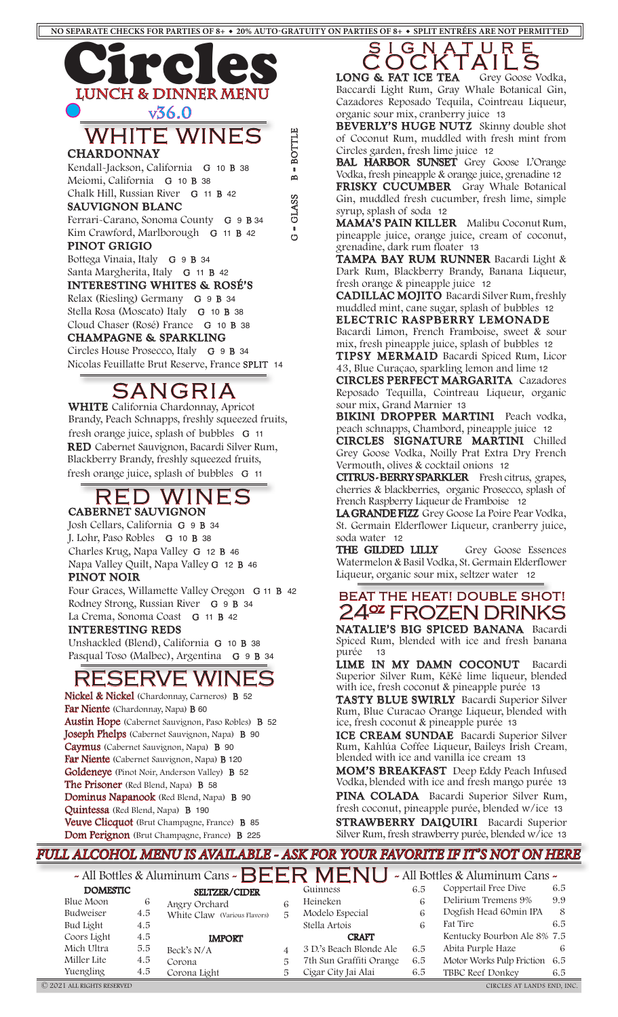

Relax (Riesling) Germany G 9 B 34 Stella Rosa (Moscato) Italy G 10 B 38 Cloud Chaser (Rosé) France G 10 B 38 **CHAMPAGNE & SPARKLING** Circles House Prosecco, Italy G 9 B 34

Nicolas Feuillatte Brut Reserve, France SPLIT 14

SANGRIA

Brandy, Peach Schnapps, freshly squeezed fruits, fresh orange juice, splash of bubbles G 11

**WHITE** California Chardonnay, Apricot

RED WINES

**RED** Cabernet Sauvignon, Bacardi Silver Rum, Blackberry Brandy, freshly squeezed fruits, fresh orange juice, splash of bubbles G 11

Four Graces, Willamette Valley Oregon G 11 B 42

Rodney Strong, Russian River G 9 B 34 La Crema, Sonoma Coast G 11 B 42

Unshackled (Blend), California G 10 B 38 Pasqual Toso (Malbec), Argentina G 9 B 34

RESERVE WINE

Nickel & Nickel (Chardonnay, Carneros) B 52

Austin Hope (Cabernet Sauvignon, Paso Robles) B 52 Joseph Phelps (Cabernet Sauvignon, Napa) B 90 Caymus (Cabernet Sauvignon, Napa) B 90 Far Niente (Cabernet Sauvignon, Napa) B 120 Goldeneye (Pinot Noir, Anderson Valley) B 52

Far Niente (Chardonnay, Napa) B 60

The Prisoner (Red Blend, Napa) B 58

Quintessa (Red Blend, Napa) B 190

Dominus Napanook (Red Blend, Napa) B 90

Veuve Clicquot (Brut Champagne, France) B 85 Dom Perignon (Brut Champagne, France) B 225

**CABERNET SAUVIGNON** Josh Cellars, California G 9 B 34 J. Lohr, Paso Robles G 10 B 38 Charles Krug, Napa Valley G 12 B 46 Napa Valley Quilt, Napa Valley G 12 B 46

**PINOT NOIR**

**INTERESTING REDS**

**CADILLAC MOJITO** Bacardi Silver Rum, freshly muddled mint, cane sugar, splash of bubbles 12 **ELECTRIC RASPBERRY LEMONADE**

Bacardi Limon, French Framboise, sweet & sour mix, fresh pineapple juice, splash of bubbles 12 **TIPSY MERMAID** Bacardi Spiced Rum, Licor

43, Blue Curaçao, sparkling lemon and lime 12

**CIRCLES PERFECT MARGARITA** Cazadores Reposado Tequilla, Cointreau Liqueur, organic sour mix, Grand Marnier 13

**BIKINI DROPPER MARTINI** Peach vodka, peach schnapps, Chambord, pineapple juice12 **CIRCLES SIGNATURE MARTINI** Chilled

Grey Goose Vodka, Noilly Prat Extra Dry French Vermouth, olives & cocktail onions 12

**CITRUS - BERRY SPARKLER** Fresh citrus, grapes, cherries & blackberries, organic Prosecco, splash of French Raspberry Liqueur de Framboise 12

**LA GRANDE FIZZ** Grey Goose La Poire Pear Vodka, St. Germain Elderflower Liqueur, cranberry juice, soda water 12

**THE GILDED LILLY** Grey Goose Essences Watermelon & Basil Vodka, St. Germain Elderflower Liqueur, organic sour mix, seltzer water 12

## BEAT THE HEAT! DOUBLE SHOT! 24° FROZEN DRINKS

**NATALIE'S BIG SPICED BANANA**Bacardi Spiced Rum, blended with ice and fresh banana purée 13

**LIME IN MY DAMN COCONUT**Bacardi Superior Silver Rum, KêKê lime liqueur, blended with ice, fresh coconut & pineapple purée 13

**TASTY BLUE SWIRLY**Bacardi Superior Silver Rum, Blue Curacao Orange Liqueur, blended with ice, fresh coconut & pineapple purée 13

**ICE CREAM SUNDAE**Bacardi Superior Silver Rum, Kahlúa Coffee Liqueur, Baileys Irish Cream, blended with ice and vanilla ice cream 13

**MOM'S BREAKFAST**Deep Eddy Peach Infused Vodka, blended with ice and fresh mango purée 13

**PINA COLADA**Bacardi Superior Silver Rum, fresh coconut, pineapple purée, blended w/ice 13 **STRAWBERRY DAIQUIRI**Bacardi Superior Silver Rum, fresh strawberry purée, blended w/ice 13

#### *FULL ALCOHOL MENU IS AVAILABLE - ASK FOR YOUR FAVORITE IF IT'S NOT ON HERE*

- All Bottles & Aluminum Cans -  $BERMENU$  - All Bottles & Aluminum Cans - DOMESTIC SELTZER/CIDER Guinness Coppertail Free Dive 6.5 Blue Moon 6 Budweiser 4.5 Bud Light 4.5 Coors Light 4.5 Mich Ultra 5.5 Guinness Heineken 6 Modelo Especial 6 Stella Artois 6 CRAFT 3 D.'s Beach Blonde Ale 6.5 Coppertail Free Dive Delirium Tremens 9% Dogfish Head 60min IPA 8 Fat Tire 6.5 Kentucky Bourbon Ale 8% 7.5 Abita Purple Haze 6 SELTZER/CIDER Angry Orchard 6 White Claw (Various Flavors) 5 IMPORT

Miller Lite 4.5 Yuengling 4.5 7th Sun Graffiti Orange 6.5 Cigar City Jai Alai 6.5 Beck's  $N/A$  4 Corona 5 Corona Light 5

Motor Works Pulp Friction 6.5 TBBC Reef Donkey 6.5